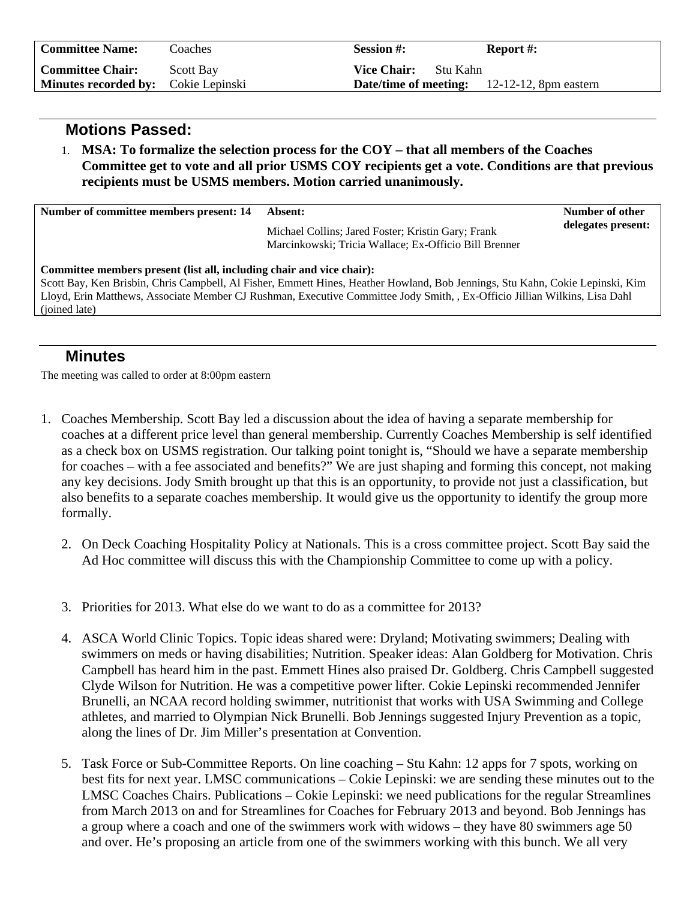| <b>Committee Name:</b>                     | Coaches          | <b>Session #:</b>                                     | <b>Report #:</b> |
|--------------------------------------------|------------------|-------------------------------------------------------|------------------|
| <b>Committee Chair:</b>                    | <b>Scott Bay</b> | <b>Vice Chair:</b><br>- Stu Kahn                      |                  |
| <b>Minutes recorded by:</b> Cokie Lepinski |                  | <b>Date/time of meeting:</b> $12-12-12$ , 8pm eastern |                  |

## **Motions Passed:**

1. **MSA: To formalize the selection process for the COY – that all members of the Coaches Committee get to vote and all prior USMS COY recipients get a vote. Conditions are that previous recipients must be USMS members. Motion carried unanimously.**

| Number of committee members present: 14                                                                                                                                                                                                                                                                                                               | Absent:                                                                                                     | Number of other    |  |  |
|-------------------------------------------------------------------------------------------------------------------------------------------------------------------------------------------------------------------------------------------------------------------------------------------------------------------------------------------------------|-------------------------------------------------------------------------------------------------------------|--------------------|--|--|
|                                                                                                                                                                                                                                                                                                                                                       | Michael Collins; Jared Foster; Kristin Gary; Frank<br>Marcinkowski; Tricia Wallace; Ex-Officio Bill Brenner | delegates present: |  |  |
| Committee members present (list all, including chair and vice chair):<br>Scott Bay, Ken Brisbin, Chris Campbell, Al Fisher, Emmett Hines, Heather Howland, Bob Jennings, Stu Kahn, Cokie Lepinski, Kim<br>Lloyd, Erin Matthews, Associate Member CJ Rushman, Executive Committee Jody Smith, , Ex-Officio Jillian Wilkins, Lisa Dahl<br>(joined late) |                                                                                                             |                    |  |  |
|                                                                                                                                                                                                                                                                                                                                                       |                                                                                                             |                    |  |  |

## **Minutes**

The meeting was called to order at 8:00pm eastern

- 1. Coaches Membership. Scott Bay led a discussion about the idea of having a separate membership for coaches at a different price level than general membership. Currently Coaches Membership is self identified as a check box on USMS registration. Our talking point tonight is, "Should we have a separate membership for coaches – with a fee associated and benefits?" We are just shaping and forming this concept, not making any key decisions. Jody Smith brought up that this is an opportunity, to provide not just a classification, but also benefits to a separate coaches membership. It would give us the opportunity to identify the group more formally.
	- 2. On Deck Coaching Hospitality Policy at Nationals. This is a cross committee project. Scott Bay said the Ad Hoc committee will discuss this with the Championship Committee to come up with a policy.
	- 3. Priorities for 2013. What else do we want to do as a committee for 2013?
	- 4. ASCA World Clinic Topics. Topic ideas shared were: Dryland; Motivating swimmers; Dealing with swimmers on meds or having disabilities; Nutrition. Speaker ideas: Alan Goldberg for Motivation. Chris Campbell has heard him in the past. Emmett Hines also praised Dr. Goldberg. Chris Campbell suggested Clyde Wilson for Nutrition. He was a competitive power lifter. Cokie Lepinski recommended Jennifer Brunelli, an NCAA record holding swimmer, nutritionist that works with USA Swimming and College athletes, and married to Olympian Nick Brunelli. Bob Jennings suggested Injury Prevention as a topic, along the lines of Dr. Jim Miller's presentation at Convention.
	- 5. Task Force or Sub-Committee Reports. On line coaching Stu Kahn: 12 apps for 7 spots, working on best fits for next year. LMSC communications – Cokie Lepinski: we are sending these minutes out to the LMSC Coaches Chairs. Publications – Cokie Lepinski: we need publications for the regular Streamlines from March 2013 on and for Streamlines for Coaches for February 2013 and beyond. Bob Jennings has a group where a coach and one of the swimmers work with widows – they have 80 swimmers age 50 and over. He's proposing an article from one of the swimmers working with this bunch. We all very